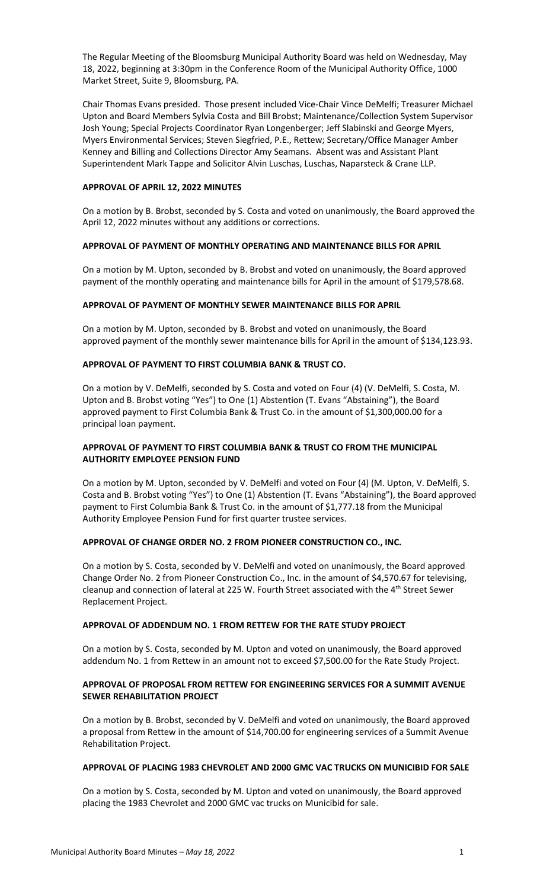The Regular Meeting of the Bloomsburg Municipal Authority Board was held on Wednesday, May 18, 2022, beginning at 3:30pm in the Conference Room of the Municipal Authority Office, 1000 Market Street, Suite 9, Bloomsburg, PA.

Chair Thomas Evans presided. Those present included Vice-Chair Vince DeMelfi; Treasurer Michael Upton and Board Members Sylvia Costa and Bill Brobst; Maintenance/Collection System Supervisor Josh Young; Special Projects Coordinator Ryan Longenberger; Jeff Slabinski and George Myers, Myers Environmental Services; Steven Siegfried, P.E., Rettew; Secretary/Office Manager Amber Kenney and Billing and Collections Director Amy Seamans. Absent was and Assistant Plant Superintendent Mark Tappe and Solicitor Alvin Luschas, Luschas, Naparsteck & Crane LLP.

### **APPROVAL OF APRIL 12, 2022 MINUTES**

On a motion by B. Brobst, seconded by S. Costa and voted on unanimously, the Board approved the April 12, 2022 minutes without any additions or corrections.

#### **APPROVAL OF PAYMENT OF MONTHLY OPERATING AND MAINTENANCE BILLS FOR APRIL**

On a motion by M. Upton, seconded by B. Brobst and voted on unanimously, the Board approved payment of the monthly operating and maintenance bills for April in the amount of \$179,578.68.

## **APPROVAL OF PAYMENT OF MONTHLY SEWER MAINTENANCE BILLS FOR APRIL**

On a motion by M. Upton, seconded by B. Brobst and voted on unanimously, the Board approved payment of the monthly sewer maintenance bills for April in the amount of \$134,123.93.

#### **APPROVAL OF PAYMENT TO FIRST COLUMBIA BANK & TRUST CO.**

On a motion by V. DeMelfi, seconded by S. Costa and voted on Four (4) (V. DeMelfi, S. Costa, M. Upton and B. Brobst voting "Yes") to One (1) Abstention (T. Evans "Abstaining"), the Board approved payment to First Columbia Bank & Trust Co. in the amount of \$1,300,000.00 for a principal loan payment.

## **APPROVAL OF PAYMENT TO FIRST COLUMBIA BANK & TRUST CO FROM THE MUNICIPAL AUTHORITY EMPLOYEE PENSION FUND**

On a motion by M. Upton, seconded by V. DeMelfi and voted on Four (4) (M. Upton, V. DeMelfi, S. Costa and B. Brobst voting "Yes") to One (1) Abstention (T. Evans "Abstaining"), the Board approved payment to First Columbia Bank & Trust Co. in the amount of \$1,777.18 from the Municipal Authority Employee Pension Fund for first quarter trustee services.

#### **APPROVAL OF CHANGE ORDER NO. 2 FROM PIONEER CONSTRUCTION CO., INC.**

On a motion by S. Costa, seconded by V. DeMelfi and voted on unanimously, the Board approved Change Order No. 2 from Pioneer Construction Co., Inc. in the amount of \$4,570.67 for televising, cleanup and connection of lateral at 225 W. Fourth Street associated with the 4<sup>th</sup> Street Sewer Replacement Project.

# **APPROVAL OF ADDENDUM NO. 1 FROM RETTEW FOR THE RATE STUDY PROJECT**

On a motion by S. Costa, seconded by M. Upton and voted on unanimously, the Board approved addendum No. 1 from Rettew in an amount not to exceed \$7,500.00 for the Rate Study Project.

## **APPROVAL OF PROPOSAL FROM RETTEW FOR ENGINEERING SERVICES FOR A SUMMIT AVENUE SEWER REHABILITATION PROJECT**

On a motion by B. Brobst, seconded by V. DeMelfi and voted on unanimously, the Board approved a proposal from Rettew in the amount of \$14,700.00 for engineering services of a Summit Avenue Rehabilitation Project.

#### **APPROVAL OF PLACING 1983 CHEVROLET AND 2000 GMC VAC TRUCKS ON MUNICIBID FOR SALE**

On a motion by S. Costa, seconded by M. Upton and voted on unanimously, the Board approved placing the 1983 Chevrolet and 2000 GMC vac trucks on Municibid for sale.